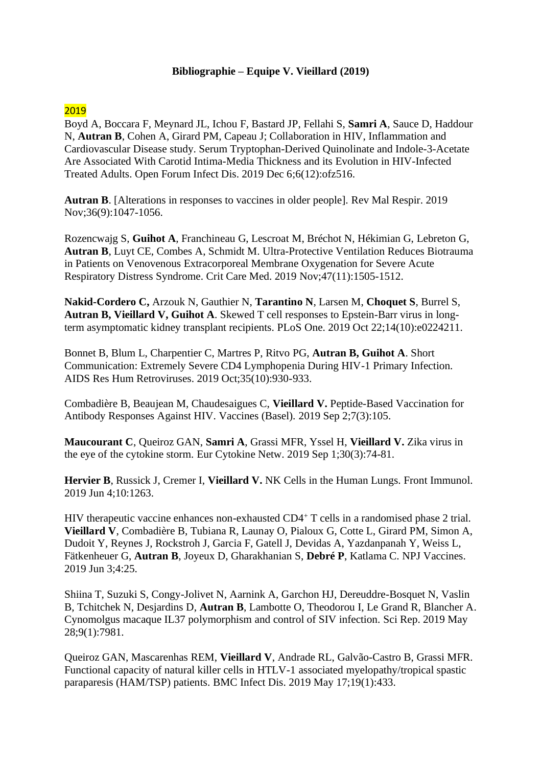## **Bibliographie – Equipe V. Vieillard (2019)**

## 2019

Boyd A, Boccara F, Meynard JL, Ichou F, Bastard JP, Fellahi S, **Samri A**, Sauce D, Haddour N, **Autran B**, Cohen A, Girard PM, Capeau J; Collaboration in HIV, Inflammation and Cardiovascular Disease study. [Serum Tryptophan-Derived Quinolinate and Indole-3-Acetate](https://pubmed.ncbi.nlm.nih.gov/31890722/)  [Are Associated With Carotid Intima-Media Thickness and its Evolution in HIV-Infected](https://pubmed.ncbi.nlm.nih.gov/31890722/)  [Treated Adults. O](https://pubmed.ncbi.nlm.nih.gov/31890722/)pen Forum Infect Dis. 2019 Dec 6;6(12):ofz516.

**Autran B**. [\[Alterations in responses to vaccines in older people\]. R](https://pubmed.ncbi.nlm.nih.gov/31522947/)ev Mal Respir. 2019 Nov;36(9):1047-1056.

Rozencwajg S, **Guihot A**, Franchineau G, Lescroat M, Bréchot N, Hékimian G, Lebreton G, **Autran B**, Luyt CE, Combes A, Schmidt M. [Ultra-Protective Ventilation Reduces Biotrauma](https://pubmed.ncbi.nlm.nih.gov/31385880/)  [in Patients on Venovenous Extracorporeal Membrane Oxygenation for Severe Acute](https://pubmed.ncbi.nlm.nih.gov/31385880/)  [Respiratory Distress Syndrome. C](https://pubmed.ncbi.nlm.nih.gov/31385880/)rit Care Med. 2019 Nov;47(11):1505-1512.

**Nakid-Cordero C,** Arzouk N, Gauthier N, **Tarantino N**, Larsen M, **Choquet S**, Burrel S, **Autran B, Vieillard V, Guihot A**. [Skewed T cell responses to Epstein-Barr virus in long](https://pubmed.ncbi.nlm.nih.gov/31639143/)[term asymptomatic kidney transplant recipients. P](https://pubmed.ncbi.nlm.nih.gov/31639143/)LoS One. 2019 Oct 22;14(10):e0224211.

Bonnet B, Blum L, Charpentier C, Martres P, Ritvo PG, **Autran B, Guihot A**. [Short](https://pubmed.ncbi.nlm.nih.gov/31418284/)  [Communication: Extremely Severe CD4 Lymphopenia During HIV-1 Primary Infection.](https://pubmed.ncbi.nlm.nih.gov/31418284/)  AIDS Res Hum Retroviruses. 2019 Oct;35(10):930-933.

Combadière B, Beaujean M, Chaudesaigues C, **Vieillard V.** [Peptide-Based Vaccination for](https://pubmed.ncbi.nlm.nih.gov/31480779/)  [Antibody Responses Against HIV. V](https://pubmed.ncbi.nlm.nih.gov/31480779/)accines (Basel). 2019 Sep 2;7(3):105.

**Maucourant C**, Queiroz GAN, **Samri A**, Grassi MFR, Yssel H, **Vieillard V.** [Zika virus in](https://pubmed.ncbi.nlm.nih.gov/31957701/)  [the eye of the cytokine storm. E](https://pubmed.ncbi.nlm.nih.gov/31957701/)ur Cytokine Netw. 2019 Sep 1;30(3):74-81.

**Hervier B**, Russick J, Cremer I, **Vieillard V.** [NK Cells in the Human Lungs. F](https://pubmed.ncbi.nlm.nih.gov/31275301/)ront Immunol. 2019 Jun 4;10:1263.

[HIV therapeutic vaccine enhances non-exhausted CD4](https://pubmed.ncbi.nlm.nih.gov/31231551/)<sup>+</sup> T cells in a randomised phase 2 trial. **Vieillard V**, Combadière B, Tubiana R, Launay O, Pialoux G, Cotte L, Girard PM, Simon A, Dudoit Y, Reynes J, Rockstroh J, Garcia F, Gatell J, Devidas A, Yazdanpanah Y, Weiss L, Fätkenheuer G, **Autran B**, Joyeux D, Gharakhanian S, **Debré P**, Katlama C. NPJ Vaccines. 2019 Jun 3;4:25.

Shiina T, Suzuki S, Congy-Jolivet N, Aarnink A, Garchon HJ, Dereuddre-Bosquet N, Vaslin B, Tchitchek N, Desjardins D, **Autran B**, Lambotte O, Theodorou I, Le Grand R, Blancher A. [Cynomolgus macaque IL37 polymorphism and control of SIV infection. S](https://pubmed.ncbi.nlm.nih.gov/31138840/)ci Rep. 2019 May 28;9(1):7981.

Queiroz GAN, Mascarenhas REM, **Vieillard V**, Andrade RL, Galvão-Castro B, Grassi MFR. [Functional capacity of natural killer cells in HTLV-1 associated myelopathy/tropical spastic](https://pubmed.ncbi.nlm.nih.gov/31101076/)  [paraparesis \(HAM/TSP\) patients. B](https://pubmed.ncbi.nlm.nih.gov/31101076/)MC Infect Dis. 2019 May 17;19(1):433.